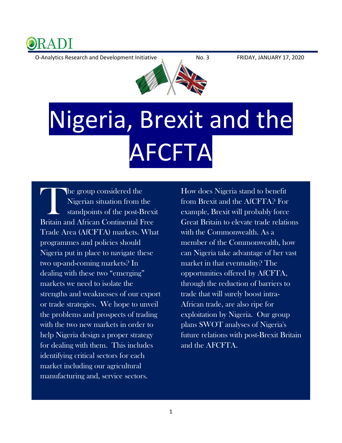

O-Analytics Research and Development Initiative No. 3 FRIDAY, JANUARY 17, 2020



## Nigeria, Brexit and the AFCFTA

he group considered the Nigerian situation from the standpoints of the post-Brexit The group considered the<br>
Nigerian situation from the<br>
standpoints of the post-Brexi<br>
Britain and African Continental Free Trade Area (AfCFTA) markets. What programmes and policies should Nigeria put in place to navigate these two up-and-coming markets? In dealing with these two "emerging" markets we need to isolate the strengths and weaknesses of our export or trade strategies. We hope to unveil the problems and prospects of trading with the two new markets in order to help Nigeria design a proper strategy for dealing with them. This includes identifying critical sectors for each market including our agricultural manufacturing and, service sectors.

How does Nigeria stand to benefit from Brexit and the AfCFTA? For example, Brexit will probably force Great Britain to elevate trade relations with the Commonwealth. As a member of the Commonwealth, how can Nigeria take advantage of her vast market in that eventuality? The opportunities offered by AfCFTA, through the reduction of barriers to trade that will surely boost intra-African trade, are also ripe for exploitation by Nigeria. Our group plans SWOT analyses of Nigeria's future relations with post-Brexit Britain and the AFCFTA.